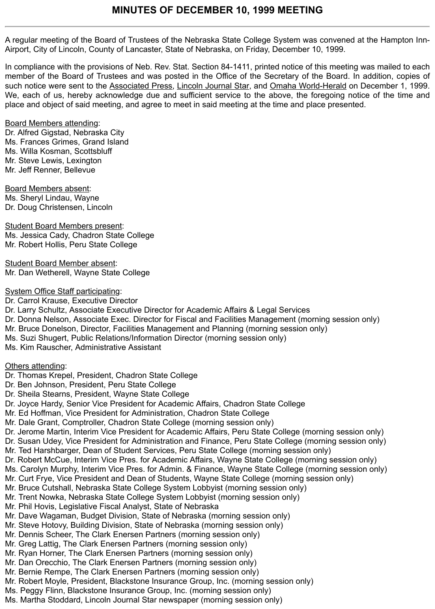A regular meeting of the Board of Trustees of the Nebraska State College System was convened at the Hampton Inn-Airport, City of Lincoln, County of Lancaster, State of Nebraska, on Friday, December 10, 1999.

In compliance with the provisions of Neb. Rev. Stat. Section 84-1411, printed notice of this meeting was mailed to each member of the Board of Trustees and was posted in the Office of the Secretary of the Board. In addition, copies of such notice were sent to the Associated Press, Lincoln Journal Star, and Omaha World-Herald on December 1, 1999. We, each of us, hereby acknowledge due and sufficient service to the above, the foregoing notice of the time and place and object of said meeting, and agree to meet in said meeting at the time and place presented.

## Board Members attending:

Dr. Alfred Gigstad, Nebraska City Ms. Frances Grimes, Grand Island Ms. Willa Kosman, Scottsbluff Mr. Steve Lewis, Lexington Mr. Jeff Renner, Bellevue

Board Members absent: Ms. Sheryl Lindau, Wayne Dr. Doug Christensen, Lincoln

# Student Board Members present:

Ms. Jessica Cady, Chadron State College Mr. Robert Hollis, Peru State College

Student Board Member absent: Mr. Dan Wetherell, Wayne State College

## System Office Staff participating:

Dr. Carrol Krause, Executive Director

Dr. Larry Schultz, Associate Executive Director for Academic Affairs & Legal Services

- Dr. Donna Nelson, Associate Exec. Director for Fiscal and Facilities Management (morning session only)
- Mr. Bruce Donelson, Director, Facilities Management and Planning (morning session only)
- Ms. Suzi Shugert, Public Relations/Information Director (morning session only)
- Ms. Kim Rauscher, Administrative Assistant

# **Others attending:**

- Dr. Thomas Krepel, President, Chadron State College
- Dr. Ben Johnson, President, Peru State College
- Dr. Sheila Stearns, President, Wayne State College
- Dr. Joyce Hardy, Senior Vice President for Academic Affairs, Chadron State College
- Mr. Ed Hoffman, Vice President for Administration, Chadron State College
- Mr. Dale Grant, Comptroller, Chadron State College (morning session only)
- Dr. Jerome Martin, Interim Vice President for Academic Affairs, Peru State College (morning session only)
- Dr. Susan Udey, Vice President for Administration and Finance, Peru State College (morning session only)
- Mr. Ted Harshbarger, Dean of Student Services, Peru State College (morning session only)
- Dr. Robert McCue, Interim Vice Pres. for Academic Affairs, Wayne State College (morning session only)
- Ms. Carolyn Murphy, Interim Vice Pres. for Admin. & Finance, Wayne State College (morning session only)
- Mr. Curt Frye, Vice President and Dean of Students, Wayne State College (morning session only)
- Mr. Bruce Cutshall, Nebraska State College System Lobbyist (morning session only)
- Mr. Trent Nowka, Nebraska State College System Lobbyist (morning session only)
- Mr. Phil Hovis, Legislative Fiscal Analyst, State of Nebraska
- Mr. Dave Wagaman, Budget Division, State of Nebraska (morning session only)
- Mr. Steve Hotovy, Building Division, State of Nebraska (morning session only)
- Mr. Dennis Scheer, The Clark Enersen Partners (morning session only)
- Mr. Greg Lattig, The Clark Enersen Partners (morning session only)
- Mr. Ryan Horner, The Clark Enersen Partners (morning session only)
- Mr. Dan Orecchio, The Clark Enersen Partners (morning session only)
- Mr. Bernie Rempe, The Clark Enersen Partners (morning session only)
- Mr. Robert Moyle, President, Blackstone Insurance Group, Inc. (morning session only)
- Ms. Peggy Flinn, Blackstone Insurance Group, Inc. (morning session only)
- Ms. Martha Stoddard, Lincoln Journal Star newspaper (morning session only)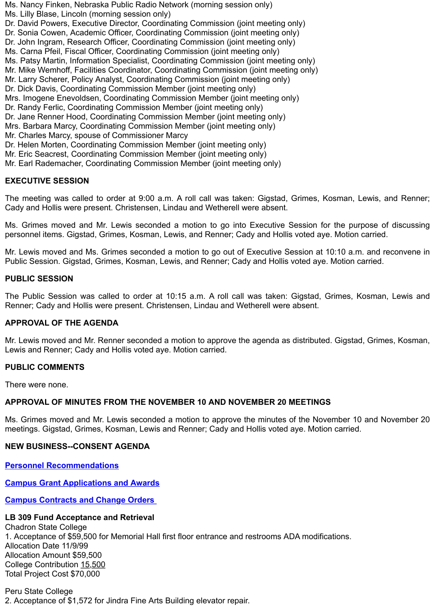Dr. Jane Renner Hood, Coordinating Commission Member (joint meeting only) Mrs. Barbara Marcy, Coordinating Commission Member (joint meeting only) Mr. Charles Marcy, spouse of Commissioner Marcy Dr. Helen Morten, Coordinating Commission Member (joint meeting only) Mr. Eric Seacrest, Coordinating Commission Member (joint meeting only) Mr. Earl Rademacher, Coordinating Commission Member (joint meeting only)

## **EXECUTIVE SESSION**

The meeting was called to order at 9:00 a.m. A roll call was taken: Gigstad, Grimes, Kosman, Lewis, Cady and Hollis were present. Christensen, Lindau and Wetherell were absent.

Ms. Grimes moved and Mr. Lewis seconded a motion to go into Executive Session for the purpose personnel items. Gigstad, Grimes, Kosman, Lewis, and Renner; Cady and Hollis voted aye. Motion carrie

Mr. Lewis moved and Ms. Grimes seconded a motion to go out of Executive Session at 10:10 a.m. and Public Session. Gigstad, Grimes, Kosman, Lewis, and Renner; Cady and Hollis voted aye. Motion carried.

#### **PUBLIC SESSION**

The Public Session was called to order at 10:15 a.m. A roll call was taken: Gigstad, Grimes, Kosma Renner; Cady and Hollis were present. Christensen, Lindau and Wetherell were absent.

## **APPROVAL OF THE AGENDA**

Mr. Lewis moved and Mr. Renner seconded a motion to approve the agenda as distributed. Gigstad, Grin Lewis and Renner; Cady and Hollis voted aye. Motion carried.

#### **PUBLIC COMMENTS**

There were none.

## **APPROVAL OF MINUTES FROM THE NOVEMBER 10 AND NOVEMBER 20 MEETINGS**

Ms. Grimes moved and Mr. Lewis seconded a motion to approve the minutes of the November 10 and meetings. Gigstad, Grimes, Kosman, Lewis and Renner; Cady and Hollis voted aye. Motion carried.

#### **NEW BUSINESS--CONSENT AGENDA**

**Personnel Recommendations**

**Campus Grant Applications and Awards**

**Campus Contracts and Change Orders** 

## **LB 309 Fund Acceptance and Retrieval**

Chadron State College 1. Acceptance of \$59,500 for Memorial Hall first floor entrance and restrooms ADA modifications. Allocation Date 11/9/99 Allocation Amount \$59,500 College Contribution 15,500 [Total Project Cost \\$70,000](http://www.nscs.edu/minutes/5a01personnel.pdf)

Peru State College [2. Acceptance of \\$1,572 for Jindra Fine Arts](http://www.nscs.edu/minutes/5a02grants.pdf) Building elevator repair.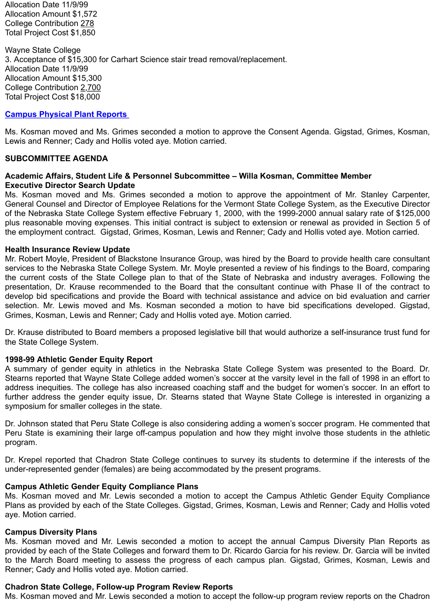#### **Campus Physical Plant Reports**

Ms. Kosman moved and Ms. Grimes seconded a motion to approve the Consent Agenda. Gigstad, Grin Lewis and Renner; Cady and Hollis voted aye. Motion carried.

## **SUBCOMMITTEE AGENDA**

## **Academic Affairs, Student Life & Personnel Subcommittee – Willa Kosman, Committee Member Executive Director Search Update**

Ms. Kosman moved and Ms. Grimes seconded a motion to approve the appointment of Mr. Stank General Counsel and Director of Employee Relations for the Vermont State College System, as the Exec of the Nebraska State College System effective February 1, 2000, with the 1999-2000 annual salary rate plus reasonable moving expenses. This initial contract is subject to extension or renewal as provided in [the employment contract. Gigstad,](http://www.nscs.edu/minutes/5a05ppsr.pdf) Grimes, Kosman, Lewis and Renner; Cady and Hollis voted aye. Moti

#### **Health Insurance Review Update**

Mr. Robert Moyle, President of Blackstone Insurance Group, was hired by the Board to provide health ca services to the Nebraska State College System. Mr. Moyle presented a review of his findings to the Board the current costs of the State College plan to that of the State of Nebraska and industry averages. presentation, Dr. Krause recommended to the Board that the consultant continue with Phase II of the develop bid specifications and provide the Board with technical assistance and advice on bid evaluation selection. Mr. Lewis moved and Ms. Kosman seconded a motion to have bid specifications develo Grimes, Kosman, Lewis and Renner; Cady and Hollis voted aye. Motion carried.

Dr. Krause distributed to Board members a proposed legislative bill that would authorize a self-insurance the State College System.

## **1998-99 Athletic Gender Equity Report**

A summary of gender equity in athletics in the Nebraska State College System was presented to the Stearns reported that Wayne State College added women's soccer at the varsity level in the fall of 1998 address inequities. The college has also increased coaching staff and the budget for women's soccer. further address the gender equity issue, Dr. Stearns stated that Wayne State College is interested in symposium for smaller colleges in the state.

Dr. Johnson stated that Peru State College is also considering adding a women's soccer program. He co Peru State is examining their large off-campus population and how they might involve those students program.

Dr. Krepel reported that Chadron State College continues to survey its students to determine if the in under-represented gender (females) are being accommodated by the present programs.

## **Campus Athletic Gender Equity Compliance Plans**

Ms. Kosman moved and Mr. Lewis seconded a motion to accept the Campus Athletic Gender Equity Plans as provided by each of the State Colleges. Gigstad, Grimes, Kosman, Lewis and Renner; Cady an aye. Motion carried.

## **Campus Diversity Plans**

Ms. Kosman moved and Mr. Lewis seconded a motion to accept the annual Campus Diversity Pla provided by each of the State Colleges and forward them to Dr. Ricardo Garcia for his review. Dr. Garcia to the March Board meeting to assess the progress of each campus plan. Gigstad, Grimes, Kosma Renner; Cady and Hollis voted aye. Motion carried.

# **Chadron State College, Follow-up Program Review Reports**

Ms. Kosman moved and Mr. Lewis seconded a motion to accept the follow-up program review reports or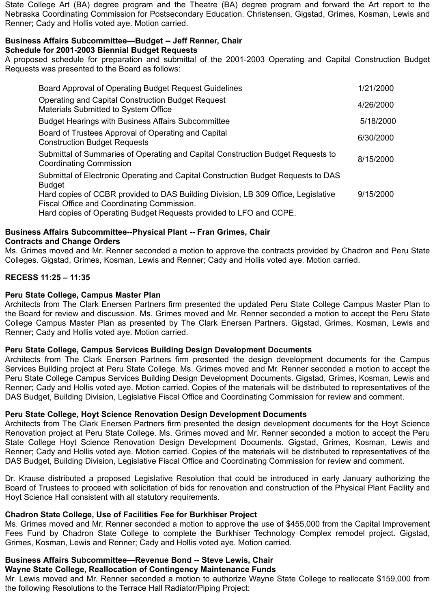State College Art (BA) degree program and the Theatre (BA) degree program and forward the Art report to the Nebraska Coordinating Commission for Postsecondary Education. Christensen, Gigstad, Grimes, Kosman, Lewis and Renner; Cady and Hollis voted aye. Motion carried.

## **Business Affairs Subcommittee—Budget -- Jeff Renner, Chair Schedule for 2001-2003 Biennial Budget Requests**

A proposed schedule for preparation and submittal of the 2001-2003 Operating and Capital Construction Budget Requests was presented to the Board as follows:

| Board Approval of Operating Budget Request Guidelines                                                                                                                                                 | 1/21/2000 |
|-------------------------------------------------------------------------------------------------------------------------------------------------------------------------------------------------------|-----------|
| <b>Operating and Capital Construction Budget Request</b><br>Materials Submitted to System Office                                                                                                      | 4/26/2000 |
| <b>Budget Hearings with Business Affairs Subcommittee</b>                                                                                                                                             | 5/18/2000 |
| Board of Trustees Approval of Operating and Capital<br><b>Construction Budget Requests</b>                                                                                                            | 6/30/2000 |
| Submittal of Summaries of Operating and Capital Construction Budget Requests to<br><b>Coordinating Commission</b>                                                                                     | 8/15/2000 |
| Submittal of Electronic Operating and Capital Construction Budget Requests to DAS<br><b>Budget</b>                                                                                                    |           |
| Hard copies of CCBR provided to DAS Building Division, LB 309 Office, Legislative<br>Fiscal Office and Coordinating Commission.<br>Hard copies of Operating Budget Requests provided to LFO and CCPE. | 9/15/2000 |
|                                                                                                                                                                                                       |           |

## **Business Affairs Subcommittee--Physical Plant -- Fran Grimes, Chair Contracts and Change Orders**

Ms. Grimes moved and Mr. Renner seconded a motion to approve the contracts provided by Chadron and Peru State Colleges. Gigstad, Grimes, Kosman, Lewis and Renner; Cady and Hollis voted aye. Motion carried.

## **RECESS 11:25 – 11:35**

## **Peru State College, Campus Master Plan**

Architects from The Clark Enersen Partners firm presented the updated Peru State College Campus Master Plan to the Board for review and discussion. Ms. Grimes moved and Mr. Renner seconded a motion to accept the Peru State College Campus Master Plan as presented by The Clark Enersen Partners. Gigstad, Grimes, Kosman, Lewis and Renner; Cady and Hollis voted aye. Motion carried.

## **Peru State College, Campus Services Building Design Development Documents**

Architects from The Clark Enersen Partners firm presented the design development documents for the Campus Services Building project at Peru State College. Ms. Grimes moved and Mr. Renner seconded a motion to accept the Peru State College Campus Services Building Design Development Documents. Gigstad, Grimes, Kosman, Lewis and Renner; Cady and Hollis voted aye. Motion carried. Copies of the materials will be distributed to representatives of the DAS Budget, Building Division, Legislative Fiscal Office and Coordinating Commission for review and comment.

# **Peru State College, Hoyt Science Renovation Design Development Documents**

Architects from The Clark Enersen Partners firm presented the design development documents for the Hoyt Science Renovation project at Peru State College. Ms. Grimes moved and Mr. Renner seconded a motion to accept the Peru State College Hoyt Science Renovation Design Development Documents. Gigstad, Grimes, Kosman, Lewis and Renner; Cady and Hollis voted aye. Motion carried. Copies of the materials will be distributed to representatives of the DAS Budget, Building Division, Legislative Fiscal Office and Coordinating Commission for review and comment.

Dr. Krause distributed a proposed Legislative Resolution that could be introduced in early January authorizing the Board of Trustees to proceed with solicitation of bids for renovation and construction of the Physical Plant Facility and Hoyt Science Hall consistent with all statutory requirements.

# **Chadron State College, Use of Facilities Fee for Burkhiser Project**

Ms. Grimes moved and Mr. Renner seconded a motion to approve the use of \$455,000 from the Capital Improvement Fees Fund by Chadron State College to complete the Burkhiser Technology Complex remodel project. Gigstad, Grimes, Kosman, Lewis and Renner; Cady and Hollis voted aye. Motion carried.

# **Business Affairs Subcommittee—Revenue Bond -- Steve Lewis, Chair**

## **Wayne State College, Reallocation of Contingency Maintenance Funds**

Mr. Lewis moved and Mr. Renner seconded a motion to authorize Wayne State College to reallocate \$159,000 from the following Resolutions to the Terrace Hall Radiator/Piping Project: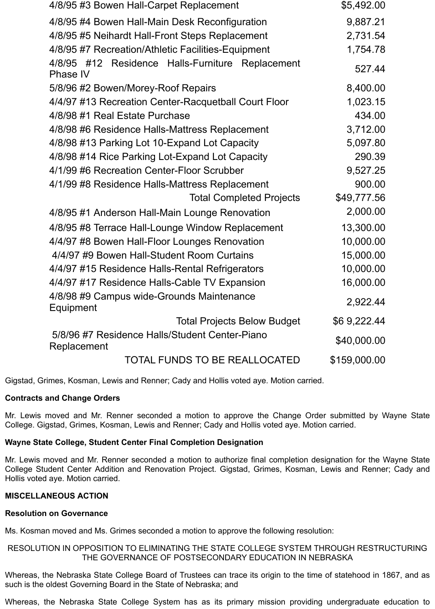| 4/8/95 #3 Bowen Hall-Carpet Replacement                             | \$5,492.00   |
|---------------------------------------------------------------------|--------------|
| 4/8/95 #4 Bowen Hall-Main Desk Reconfiguration                      | 9,887.21     |
| 4/8/95 #5 Neihardt Hall-Front Steps Replacement                     | 2,731.54     |
| 4/8/95 #7 Recreation/Athletic Facilities-Equipment                  | 1,754.78     |
| 4/8/95 #12 Residence Halls-Furniture Replacement<br><b>Phase IV</b> | 527.44       |
| 5/8/96 #2 Bowen/Morey-Roof Repairs                                  | 8,400.00     |
| 4/4/97 #13 Recreation Center-Racquetball Court Floor                | 1,023.15     |
| 4/8/98 #1 Real Estate Purchase                                      | 434.00       |
| 4/8/98 #6 Residence Halls-Mattress Replacement                      | 3,712.00     |
| 4/8/98 #13 Parking Lot 10-Expand Lot Capacity                       | 5,097.80     |
| 4/8/98 #14 Rice Parking Lot-Expand Lot Capacity                     | 290.39       |
| 4/1/99 #6 Recreation Center-Floor Scrubber                          | 9,527.25     |
| 4/1/99 #8 Residence Halls-Mattress Replacement                      | 900.00       |
| <b>Total Completed Projects</b>                                     | \$49,777.56  |
| 4/8/95 #1 Anderson Hall-Main Lounge Renovation                      | 2,000.00     |
| 4/8/95 #8 Terrace Hall-Lounge Window Replacement                    | 13,300.00    |
| 4/4/97 #8 Bowen Hall-Floor Lounges Renovation                       | 10,000.00    |
| 4/4/97 #9 Bowen Hall-Student Room Curtains                          | 15,000.00    |
| 4/4/97 #15 Residence Halls-Rental Refrigerators                     | 10,000.00    |
| 4/4/97 #17 Residence Halls-Cable TV Expansion                       | 16,000.00    |
| 4/8/98 #9 Campus wide-Grounds Maintenance<br>Equipment              | 2,922.44     |
| <b>Total Projects Below Budget</b>                                  | \$69,222.44  |
| 5/8/96 #7 Residence Halls/Student Center-Piano<br>Replacement       | \$40,000.00  |
| TOTAL FUNDS TO BE REALLOCATED                                       | \$159,000.00 |

Gigstad, Grimes, Kosman, Lewis and Renner; Cady and Hollis voted aye. Motion carried.

## **Contracts and Change Orders**

Mr. Lewis moved and Mr. Renner seconded a motion to approve the Change Order submitted by Wayne State College. Gigstad, Grimes, Kosman, Lewis and Renner; Cady and Hollis voted aye. Motion carried.

## **Wayne State College, Student Center Final Completion Designation**

Mr. Lewis moved and Mr. Renner seconded a motion to authorize final completion designation for the Wayne State College Student Center Addition and Renovation Project. Gigstad, Grimes, Kosman, Lewis and Renner; Cady and Hollis voted aye. Motion carried.

## **MISCELLANEOUS ACTION**

#### **Resolution on Governance**

Ms. Kosman moved and Ms. Grimes seconded a motion to approve the following resolution:

## RESOLUTION IN OPPOSITION TO ELIMINATING THE STATE COLLEGE SYSTEM THROUGH RESTRUCTURING THE GOVERNANCE OF POSTSECONDARY EDUCATION IN NEBRASKA

Whereas, the Nebraska State College Board of Trustees can trace its origin to the time of statehood in 1867, and as such is the oldest Governing Board in the State of Nebraska; and

Whereas, the Nebraska State College System has as its primary mission providing undergraduate education to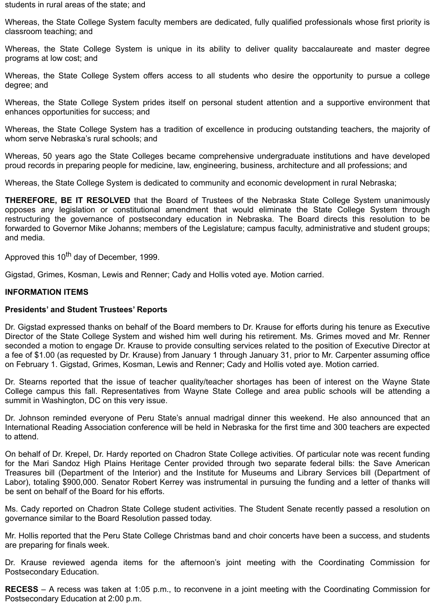students in rural areas of the state; and

Whereas, the State College System faculty members are dedicated, fully qualified professionals whose first priority is classroom teaching; and

Whereas, the State College System is unique in its ability to deliver quality baccalaureate and master degree programs at low cost; and

Whereas, the State College System offers access to all students who desire the opportunity to pursue a college degree; and

Whereas, the State College System prides itself on personal student attention and a supportive environment that enhances opportunities for success; and

Whereas, the State College System has a tradition of excellence in producing outstanding teachers, the majority of whom serve Nebraska's rural schools; and

Whereas, 50 years ago the State Colleges became comprehensive undergraduate institutions and have developed proud records in preparing people for medicine, law, engineering, business, architecture and all professions; and

Whereas, the State College System is dedicated to community and economic development in rural Nebraska;

**THEREFORE, BE IT RESOLVED** that the Board of Trustees of the Nebraska State College System unanimously opposes any legislation or constitutional amendment that would eliminate the State College System through restructuring the governance of postsecondary education in Nebraska. The Board directs this resolution to be forwarded to Governor Mike Johanns; members of the Legislature; campus faculty, administrative and student groups; and media.

Approved this 10<sup>th</sup> day of December, 1999.

Gigstad, Grimes, Kosman, Lewis and Renner; Cady and Hollis voted aye. Motion carried.

## **INFORMATION ITEMS**

## **Presidents' and Student Trustees' Reports**

Dr. Gigstad expressed thanks on behalf of the Board members to Dr. Krause for efforts during his tenure as Executive Director of the State College System and wished him well during his retirement. Ms. Grimes moved and Mr. Renner seconded a motion to engage Dr. Krause to provide consulting services related to the position of Executive Director at a fee of \$1.00 (as requested by Dr. Krause) from January 1 through January 31, prior to Mr. Carpenter assuming office on February 1. Gigstad, Grimes, Kosman, Lewis and Renner; Cady and Hollis voted aye. Motion carried.

Dr. Stearns reported that the issue of teacher quality/teacher shortages has been of interest on the Wayne State College campus this fall. Representatives from Wayne State College and area public schools will be attending a summit in Washington, DC on this very issue.

Dr. Johnson reminded everyone of Peru State's annual madrigal dinner this weekend. He also announced that an International Reading Association conference will be held in Nebraska for the first time and 300 teachers are expected to attend.

On behalf of Dr. Krepel, Dr. Hardy reported on Chadron State College activities. Of particular note was recent funding for the Mari Sandoz High Plains Heritage Center provided through two separate federal bills: the Save American Treasures bill (Department of the Interior) and the Institute for Museums and Library Services bill (Department of Labor), totaling \$900,000. Senator Robert Kerrey was instrumental in pursuing the funding and a letter of thanks will be sent on behalf of the Board for his efforts.

Ms. Cady reported on Chadron State College student activities. The Student Senate recently passed a resolution on governance similar to the Board Resolution passed today.

Mr. Hollis reported that the Peru State College Christmas band and choir concerts have been a success, and students are preparing for finals week.

Dr. Krause reviewed agenda items for the afternoon's joint meeting with the Coordinating Commission for Postsecondary Education.

**RECESS** – A recess was taken at 1:05 p.m., to reconvene in a joint meeting with the Coordinating Commission for Postsecondary Education at 2:00 p.m.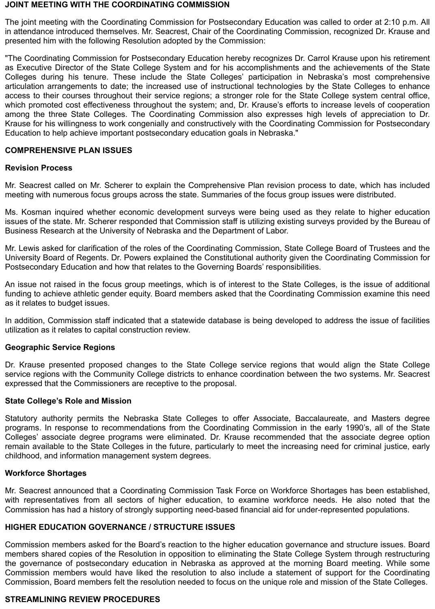#### **JOINT MEETING WITH THE COORDINATING COMMISSION**

The joint meeting with the Coordinating Commission for Postsecondary Education was called to order at 2:10 p.m. All in attendance introduced themselves. Mr. Seacrest, Chair of the Coordinating Commission, recognized Dr. Krause and presented him with the following Resolution adopted by the Commission:

"The Coordinating Commission for Postsecondary Education hereby recognizes Dr. Carrol Krause upon his retirement as Executive Director of the State College System and for his accomplishments and the achievements of the State Colleges during his tenure. These include the State Colleges' participation in Nebraska's most comprehensive articulation arrangements to date; the increased use of instructional technologies by the State Colleges to enhance access to their courses throughout their service regions; a stronger role for the State College system central office, which promoted cost effectiveness throughout the system; and, Dr. Krause's efforts to increase levels of cooperation among the three State Colleges. The Coordinating Commission also expresses high levels of appreciation to Dr. Krause for his willingness to work congenially and constructively with the Coordinating Commission for Postsecondary Education to help achieve important postsecondary education goals in Nebraska."

## **COMPREHENSIVE PLAN ISSUES**

## **Revision Process**

Mr. Seacrest called on Mr. Scherer to explain the Comprehensive Plan revision process to date, which has included meeting with numerous focus groups across the state. Summaries of the focus group issues were distributed.

Ms. Kosman inquired whether economic development surveys were being used as they relate to higher education issues of the state. Mr. Scherer responded that Commission staff is utilizing existing surveys provided by the Bureau of Business Research at the University of Nebraska and the Department of Labor.

Mr. Lewis asked for clarification of the roles of the Coordinating Commission, State College Board of Trustees and the University Board of Regents. Dr. Powers explained the Constitutional authority given the Coordinating Commission for Postsecondary Education and how that relates to the Governing Boards' responsibilities.

An issue not raised in the focus group meetings, which is of interest to the State Colleges, is the issue of additional funding to achieve athletic gender equity. Board members asked that the Coordinating Commission examine this need as it relates to budget issues.

In addition, Commission staff indicated that a statewide database is being developed to address the issue of facilities utilization as it relates to capital construction review.

## **Geographic Service Regions**

Dr. Krause presented proposed changes to the State College service regions that would align the State College service regions with the Community College districts to enhance coordination between the two systems. Mr. Seacrest expressed that the Commissioners are receptive to the proposal.

## **State College's Role and Mission**

Statutory authority permits the Nebraska State Colleges to offer Associate, Baccalaureate, and Masters degree programs. In response to recommendations from the Coordinating Commission in the early 1990's, all of the State Colleges' associate degree programs were eliminated. Dr. Krause recommended that the associate degree option remain available to the State Colleges in the future, particularly to meet the increasing need for criminal justice, early childhood, and information management system degrees.

## **Workforce Shortages**

Mr. Seacrest announced that a Coordinating Commission Task Force on Workforce Shortages has been established, with representatives from all sectors of higher education, to examine workforce needs. He also noted that the Commission has had a history of strongly supporting need-based financial aid for under-represented populations.

## **HIGHER EDUCATION GOVERNANCE / STRUCTURE ISSUES**

Commission members asked for the Board's reaction to the higher education governance and structure issues. Board members shared copies of the Resolution in opposition to eliminating the State College System through restructuring the governance of postsecondary education in Nebraska as approved at the morning Board meeting. While some Commission members would have liked the resolution to also include a statement of support for the Coordinating Commission, Board members felt the resolution needed to focus on the unique role and mission of the State Colleges.

## **STREAMLINING REVIEW PROCEDURES**